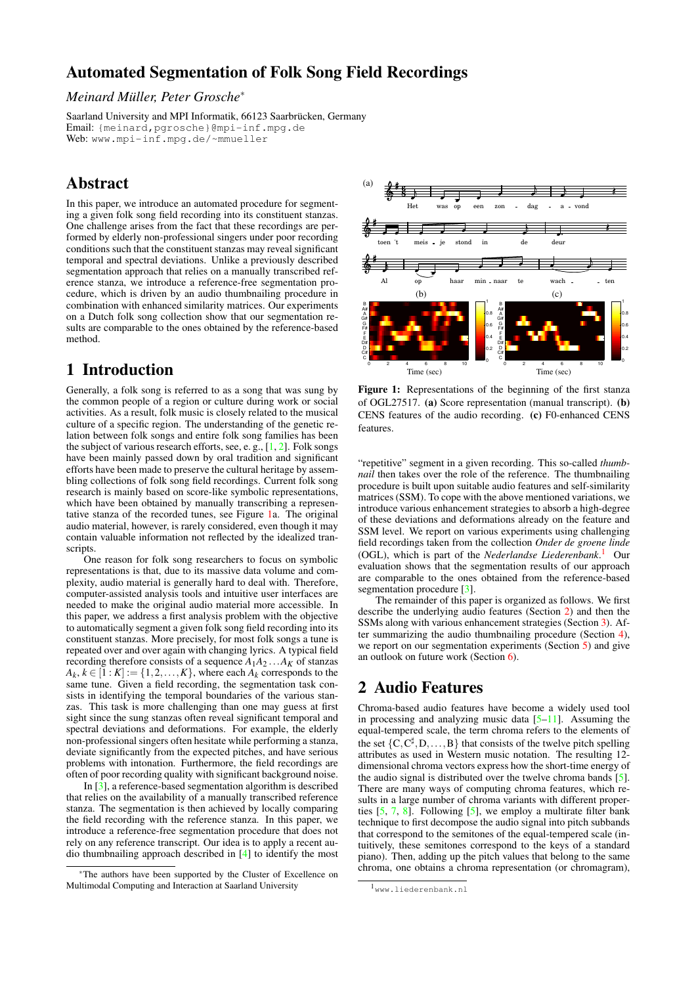# **Automated Segmentation of Folk Song Field Recordings**

### *Meinard Müller, Peter Grosche*<sup>∗</sup>

Saarland University and MPI Informatik, 66123 Saarbrücken, Germany Email: {meinard,pgrosche}@mpi-inf.mpg.de Web: <www.mpi-inf.mpg.de/~mmueller>

# **Abstract**

In this paper, we introduce an automated procedure for segmenting a given folk song field recording into its constituent stanzas. One challenge arises from the fact that these recordings are performed by elderly non-professional singers under poor recording conditions such that the constituent stanzas may reveal significant temporal and spectral deviations. Unlike a previously described segmentation approach that relies on a manually transcribed reference stanza, we introduce a reference-free segmentation procedure, which is driven by an audio thumbnailing procedure in combination with enhanced similarity matrices. Our experiments on a Dutch folk song collection show that our segmentation results are comparable to the ones obtained by the reference-based method.

### **1 Introduction**

Generally, a folk song is referred to as a song that was sung by the common people of a region or culture during work or social activities. As a result, folk music is closely related to the musical culture of a specific region. The understanding of the genetic relation between folk songs and entire folk song families has been the subject of various research efforts, see, e. g.,  $[1, 2]$  $[1, 2]$ . Folk songs have been mainly passed down by oral tradition and significant efforts have been made to preserve the cultural heritage by assembling collections of folk song field recordings. Current folk song research is mainly based on score-like symbolic representations, which have been obtained by manually transcribing a representative stanza of the recorded tunes, see Figure [1a](#page-0-0). The original audio material, however, is rarely considered, even though it may contain valuable information not reflected by the idealized transcripts.

One reason for folk song researchers to focus on symbolic representations is that, due to its massive data volume and complexity, audio material is generally hard to deal with. Therefore, computer-assisted analysis tools and intuitive user interfaces are needed to make the original audio material more accessible. In this paper, we address a first analysis problem with the objective to automatically segment a given folk song field recording into its constituent stanzas. More precisely, for most folk songs a tune is repeated over and over again with changing lyrics. A typical field recording therefore consists of a sequence  $A_1A_2...A_K$  of stanzas  $A_k, k \in [1:K] := \{1, 2, \ldots, K\}$ , where each  $A_k$  corresponds to the same tune. Given a field recording, the segmentation task consists in identifying the temporal boundaries of the various stanzas. This task is more challenging than one may guess at first sight since the sung stanzas often reveal significant temporal and spectral deviations and deformations. For example, the elderly non-professional singers often hesitate while performing a stanza, deviate significantly from the expected pitches, and have serious problems with intonation. Furthermore, the field recordings are often of poor recording quality with significant background noise.

In [\[3\]](#page-3-2), a reference-based segmentation algorithm is described that relies on the availability of a manually transcribed reference stanza. The segmentation is then achieved by locally comparing the field recording with the reference stanza. In this paper, we introduce a reference-free segmentation procedure that does not rely on any reference transcript. Our idea is to apply a recent audio thumbnailing approach described in [\[4\]](#page-3-3) to identify the most



<span id="page-0-0"></span>Figure 1: Representations of the beginning of the first stanza of OGL27517. **(a)** Score representation (manual transcript). **(b)** CENS features of the audio recording. **(c)** F0-enhanced CENS features.

"repetitive" segment in a given recording. This so-called *thumbnail* then takes over the role of the reference. The thumbnailing procedure is built upon suitable audio features and self-similarity matrices (SSM). To cope with the above mentioned variations, we introduce various enhancement strategies to absorb a high-degree of these deviations and deformations already on the feature and SSM level. We report on various experiments using challenging field recordings taken from the collection *Onder de groene linde* (OGL), which is part of the *Nederlandse Liederenbank*. [1](#page-0-1) Our evaluation shows that the segmentation results of our approach are comparable to the ones obtained from the reference-based segmentation procedure [\[3\]](#page-3-2).

The remainder of this paper is organized as follows. We first describe the underlying audio features (Section [2\)](#page-0-2) and then the SSMs along with various enhancement strategies (Section [3\)](#page-1-0). After summarizing the audio thumbnailing procedure (Section [4\)](#page-2-0), we report on our segmentation experiments (Section [5\)](#page-2-1) and give an outlook on future work (Section [6\)](#page-3-4).

### <span id="page-0-2"></span>**2 Audio Features**

Chroma-based audio features have become a widely used tool in processing and analyzing music data  $[5-11]$  $[5-11]$ . Assuming the equal-tempered scale, the term chroma refers to the elements of the set  $\{C, C^{\sharp}, D, \ldots, B\}$  that consists of the twelve pitch spelling attributes as used in Western music notation. The resulting 12 dimensional chroma vectors express how the short-time energy of the audio signal is distributed over the twelve chroma bands [\[5](#page-3-5)]. There are many ways of computing chroma features, which results in a large number of chroma variants with different properties  $[5, 7, 8]$  $[5, 7, 8]$  $[5, 7, 8]$  $[5, 7, 8]$  $[5, 7, 8]$ . Following  $[5]$ , we employ a multirate filter bank technique to first decompose the audio signal into pitch subbands that correspond to the semitones of the equal-tempered scale (intuitively, these semitones correspond to the keys of a standard piano). Then, adding up the pitch values that belong to the same chroma, one obtains a chroma representation (or chromagram),

<sup>∗</sup>The authors have been supported by the Cluster of Excellence on Multimodal Computing and Interaction at Saarland University

<span id="page-0-1"></span><sup>1</sup><www.liederenbank.nl>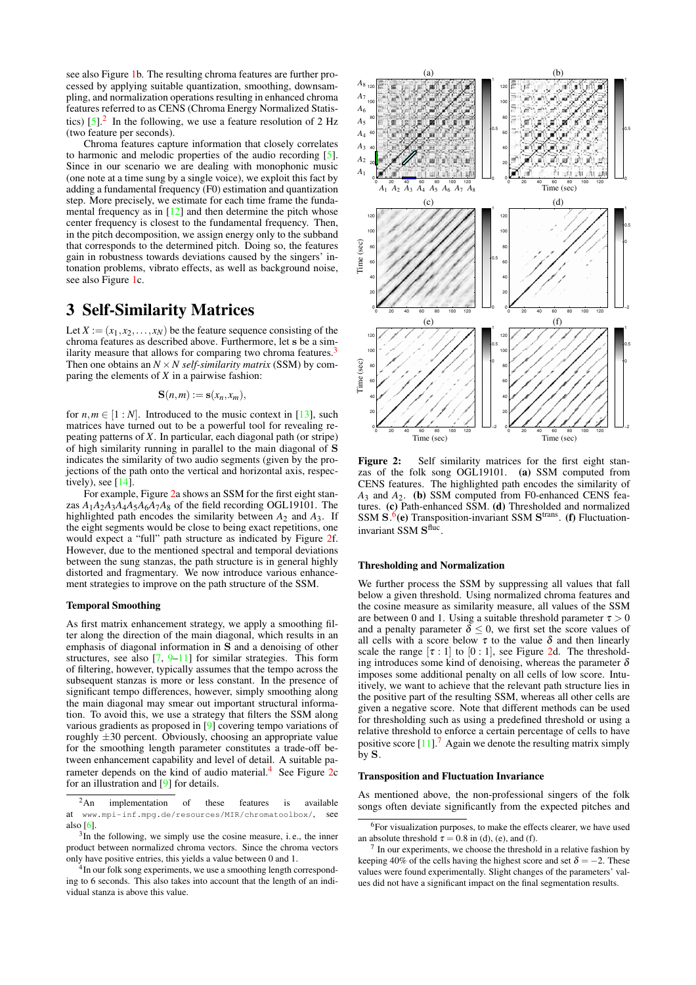see also Figure [1b](#page-0-0). The resulting chroma features are further processed by applying suitable quantization, smoothing, downsampling, and normalization operations resulting in enhanced chroma features referred to as CENS (Chroma Energy Normalized Statistics)  $[5]$ .<sup>[2](#page-1-1)</sup> In the following, we use a feature resolution of 2 Hz (two feature per seconds).

Chroma features capture information that closely correlates to harmonic and melodic properties of the audio recording [\[5\]](#page-3-5). Since in our scenario we are dealing with monophonic music (one note at a time sung by a single voice), we exploit this fact by adding a fundamental frequency (F0) estimation and quantization step. More precisely, we estimate for each time frame the fundamental frequency as in  $[12]$  and then determine the pitch whose center frequency is closest to the fundamental frequency. Then, in the pitch decomposition, we assign energy only to the subband that corresponds to the determined pitch. Doing so, the features gain in robustness towards deviations caused by the singers' intonation problems, vibrato effects, as well as background noise, see also Figure [1c](#page-0-0).

### <span id="page-1-0"></span>**3 Self-Similarity Matrices**

Let  $X := (x_1, x_2, \ldots, x_N)$  be the feature sequence consisting of the chroma features as described above. Furthermore, let s be a sim-ilarity measure that allows for comparing two chroma features.<sup>[3](#page-1-2)</sup> Then one obtains an  $N \times N$  self-similarity matrix (SSM) by comparing the elements of *X* in a pairwise fashion:

$$
\mathbf{S}(n,m):=\mathbf{s}(x_n,x_m),
$$

for  $n, m \in [1:N]$ . Introduced to the music context in [\[13\]](#page-3-10), such matrices have turned out to be a powerful tool for revealing repeating patterns of *X*. In particular, each diagonal path (or stripe) of high similarity running in parallel to the main diagonal of S indicates the similarity of two audio segments (given by the projections of the path onto the vertical and horizontal axis, respectively), see  $[14]$ .

For example, Figure [2a](#page-1-3) shows an SSM for the first eight stanzas  $A_1A_2A_3A_4A_5A_6A_7A_8$  of the field recording OGL19101. The highlighted path encodes the similarity between *A*<sup>2</sup> and *A*3. If the eight segments would be close to being exact repetitions, one would expect a "full" path structure as indicated by Figure [2f](#page-1-3). However, due to the mentioned spectral and temporal deviations between the sung stanzas, the path structure is in general highly distorted and fragmentary. We now introduce various enhancement strategies to improve on the path structure of the SSM.

#### **Temporal Smoothing**

As first matrix enhancement strategy, we apply a smoothing filter along the direction of the main diagonal, which results in an emphasis of diagonal information in  $S$  and a denoising of other structures, see also  $[7, 9-11]$  $[7, 9-11]$  $[7, 9-11]$  for similar strategies. This form of filtering, however, typically assumes that the tempo across the subsequent stanzas is more or less constant. In the presence of significant tempo differences, however, simply smoothing along the main diagonal may smear out important structural information. To avoid this, we use a strategy that filters the SSM along various gradients as proposed in [\[9](#page-3-12)] covering tempo variations of roughly  $\pm 30$  percent. Obviously, choosing an appropriate value for the smoothing length parameter constitutes a trade-off between enhancement capability and level of detail. A suitable pa-rameter depends on the kind of audio material.<sup>[4](#page-1-4)</sup> See Figure [2c](#page-1-3) for an illustration and [\[9\]](#page-3-12) for details.

<span id="page-1-4"></span><sup>4</sup>In our folk song experiments, we use a smoothing length corresponding to 6 seconds. This also takes into account that the length of an individual stanza is above this value.



<span id="page-1-3"></span>Figure 2: Self similarity matrices for the first eight stanzas of the folk song OGL19101. **(a)** SSM computed from CENS features. The highlighted path encodes the similarity of *A*<sup>3</sup> and *A*2. **(b)** SSM computed from F0-enhanced CENS features. **(c)** Path-enhanced SSM. **(d)** Thresholded and normalized SSM S.<sup>[6](#page-1-5)</sup>(e) Transposition-invariant SSM S<sup>trans</sup>. (f) Fluctuationinvariant SSM  $S<sup>fluc</sup>$ .

#### **Thresholding and Normalization**

We further process the SSM by suppressing all values that fall below a given threshold. Using normalized chroma features and the cosine measure as similarity measure, all values of the SSM are between 0 and 1. Using a suitable threshold parameter  $\tau > 0$ and a penalty parameter  $\delta \leq 0$ , we first set the score values of all cells with a score below  $\tau$  to the value  $\delta$  and then linearly scale the range  $[\tau : 1]$  to  $[0 : 1]$ , see Figure [2d](#page-1-3). The thresholding introduces some kind of denoising, whereas the parameter  $\delta$ imposes some additional penalty on all cells of low score. Intuitively, we want to achieve that the relevant path structure lies in the positive part of the resulting SSM, whereas all other cells are given a negative score. Note that different methods can be used for thresholding such as using a predefined threshold or using a relative threshold to enforce a certain percentage of cells to have positive score  $[11]$ .<sup>[7](#page-1-6)</sup> Again we denote the resulting matrix simply by S.

#### **Transposition and Fluctuation Invariance**

As mentioned above, the non-professional singers of the folk songs often deviate significantly from the expected pitches and

<span id="page-1-1"></span> $2$ An implementation of these features is available at <www.mpi-inf.mpg.de/resources/MIR/chromatoolbox/>, see also [\[6](#page-3-13)].

<span id="page-1-2"></span> $3$ In the following, we simply use the cosine measure, i.e., the inner product between normalized chroma vectors. Since the chroma vectors only have positive entries, this yields a value between 0 and 1.

<span id="page-1-5"></span> ${}^{6}$ For visualization purposes, to make the effects clearer, we have used an absolute threshold  $\tau = 0.8$  in (d), (e), and (f).

<span id="page-1-6"></span><sup>7</sup> In our experiments, we choose the threshold in a relative fashion by keeping 40% of the cells having the highest score and set  $\delta = -2$ . These values were found experimentally. Slight changes of the parameters' values did not have a significant impact on the final segmentation results.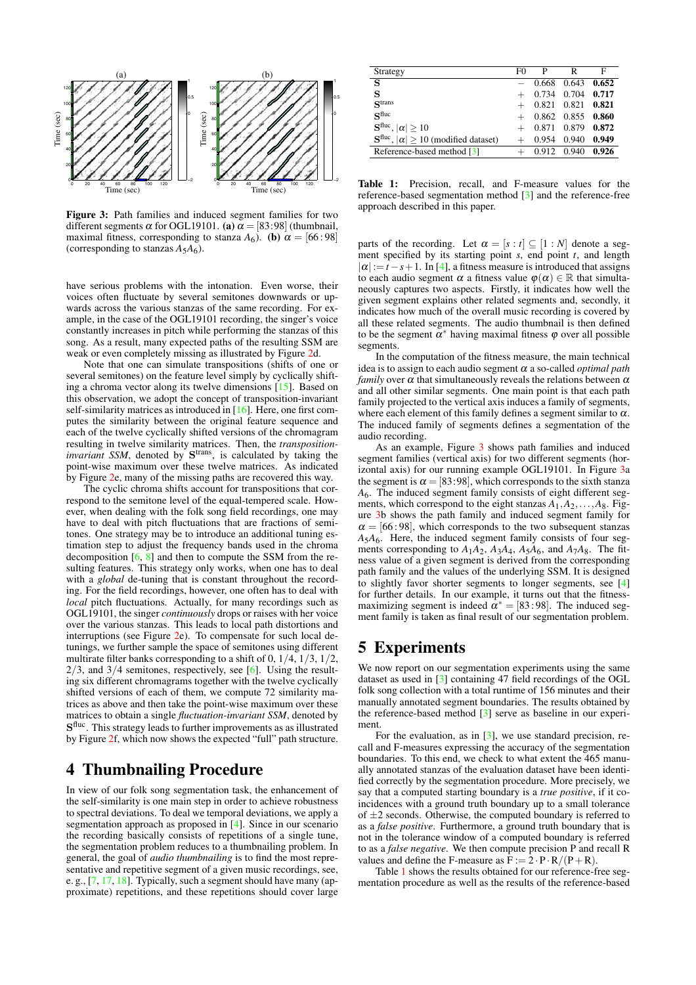

<span id="page-2-2"></span>**Figure 3:** Path families and induced segment families for two different segments  $\alpha$  for OGL19101. **(a)**  $\alpha = [83:98]$  (thumbnail, maximal fitness, corresponding to stanza  $A_6$ ). **(b)**  $\alpha = [66:98]$ (corresponding to stanzas  $A_5A_6$ ).

have serious problems with the intonation. Even worse, their voices often fluctuate by several semitones downwards or upwards across the various stanzas of the same recording. For example, in the case of the OGL19101 recording, the singer's voice constantly increases in pitch while performing the stanzas of this song. As a result, many expected paths of the resulting SSM are weak or even completely missing as illustrated by Figure [2d](#page-1-3).

Note that one can simulate transpositions (shifts of one or several semitones) on the feature level simply by cyclically shifting a chroma vector along its twelve dimensions [\[15\]](#page-3-14). Based on this observation, we adopt the concept of transposition-invariant self-similarity matrices as introduced in [\[16\]](#page-3-15). Here, one first computes the similarity between the original feature sequence and each of the twelve cyclically shifted versions of the chromagram resulting in twelve similarity matrices. Then, the *transposition*invariant SSM, denoted by S<sup>trans</sup>, is calculated by taking the point-wise maximum over these twelve matrices. As indicated by Figure [2e](#page-1-3), many of the missing paths are recovered this way.

The cyclic chroma shifts account for transpositions that correspond to the semitone level of the equal-tempered scale. However, when dealing with the folk song field recordings, one may have to deal with pitch fluctuations that are fractions of semitones. One strategy may be to introduce an additional tuning estimation step to adjust the frequency bands used in the chroma decomposition [\[6,](#page-3-13) [8\]](#page-3-8) and then to compute the SSM from the resulting features. This strategy only works, when one has to deal with a *global* de-tuning that is constant throughout the recording. For the field recordings, however, one often has to deal with *local* pitch fluctuations. Actually, for many recordings such as OGL19101, the singer *continuously* drops or raises with her voice over the various stanzas. This leads to local path distortions and interruptions (see Figure [2e](#page-1-3)). To compensate for such local detunings, we further sample the space of semitones using different multirate filter banks corresponding to a shift of  $0, 1/4, 1/3, 1/2$ ,  $2/3$ , and  $3/4$  semitones, respectively, see [\[6](#page-3-13)]. Using the resulting six different chromagrams together with the twelve cyclically shifted versions of each of them, we compute 72 similarity matrices as above and then take the point-wise maximum over these matrices to obtain a single *fluctuation-invariant SSM*, denoted by S<sup>fluc</sup>. This strategy leads to further improvements as as illustrated by Figure [2f](#page-1-3), which now shows the expected "full" path structure.

## <span id="page-2-0"></span>**4 Thumbnailing Procedure**

In view of our folk song segmentation task, the enhancement of the self-similarity is one main step in order to achieve robustness to spectral deviations. To deal we temporal deviations, we apply a segmentation approach as proposed in [\[4](#page-3-3)]. Since in our scenario the recording basically consists of repetitions of a single tune, the segmentation problem reduces to a thumbnailing problem. In general, the goal of *audio thumbnailing* is to find the most representative and repetitive segment of a given music recordings, see, e. g., [\[7,](#page-3-7) [17,](#page-3-16) [18\]](#page-3-17). Typically, such a segment should have many (approximate) repetitions, and these repetitions should cover large

| Strategy                                                                | F0 | $\mathbf P$ | R                     | F     |
|-------------------------------------------------------------------------|----|-------------|-----------------------|-------|
| S                                                                       |    | 0.668       | 0.643                 | 0.652 |
| s                                                                       |    |             | 0.734 0.704           | 0.717 |
| $\mathbf{S}$ trans                                                      |    |             | 0.821 0.821 0.821     |       |
| $S$ fluc                                                                |    |             | $+$ 0.862 0.855 0.860 |       |
| $\mathbf{S}^{\text{fluc}},  \alpha  \geq 10$                            |    |             | 0.871 0.879 0.872     |       |
| $\mathbf{S}^{\text{fluc}},  \alpha  \geq 10 \text{ (modified dataset)}$ |    | 0.954       | 0.940                 | 0.949 |
| Reference-based method [3]                                              |    |             | 0.912 0.940 0.926     |       |

<span id="page-2-3"></span>**Table 1:** Precision, recall, and F-measure values for the reference-based segmentation method [\[3](#page-3-2)] and the reference-free approach described in this paper.

parts of the recording. Let  $\alpha = [s : t] \subseteq [1 : N]$  denote a segment specified by its starting point *s*, end point *t*, and length  $|\alpha| := t - s + 1$ . In [\[4](#page-3-3)], a fitness measure is introduced that assigns to each audio segment  $\alpha$  a fitness value  $\varphi(\alpha) \in \mathbb{R}$  that simultaneously captures two aspects. Firstly, it indicates how well the given segment explains other related segments and, secondly, it indicates how much of the overall music recording is covered by all these related segments. The audio thumbnail is then defined to be the segment  $\alpha^*$  having maximal fitness  $\varphi$  over all possible segments.

In the computation of the fitness measure, the main technical idea is to assign to each audio segment <sup>α</sup> a so-called *optimal path family* over  $\alpha$  that simultaneously reveals the relations between  $\alpha$ and all other similar segments. One main point is that each path family projected to the vertical axis induces a family of segments, where each element of this family defines a segment similar to  $\alpha$ . The induced family of segments defines a segmentation of the audio recording.

As an example, Figure [3](#page-2-2) shows path families and induced segment families (vertical axis) for two different segments (horizontal axis) for our running example OGL19101. In Figure [3a](#page-2-2) the segment is  $\alpha = [83:98]$ , which corresponds to the sixth stanza *A*6. The induced segment family consists of eight different segments, which correspond to the eight stanzas *A*1,*A*2,...,*A*8. Figure [3b](#page-2-2) shows the path family and induced segment family for  $\alpha = [66:98]$ , which corresponds to the two subsequent stanzas *A*5*A*6. Here, the induced segment family consists of four segments corresponding to  $A_1A_2$ ,  $A_3A_4$ ,  $A_5A_6$ , and  $A_7A_8$ . The fitness value of a given segment is derived from the corresponding path family and the values of the underlying SSM. It is designed to slightly favor shorter segments to longer segments, see [\[4\]](#page-3-3) for further details. In our example, it turns out that the fitnessmaximizing segment is indeed  $\alpha^* = [83:98]$ . The induced segment family is taken as final result of our segmentation problem.

### <span id="page-2-1"></span>**5 Experiments**

We now report on our segmentation experiments using the same dataset as used in [\[3\]](#page-3-2) containing 47 field recordings of the OGL folk song collection with a total runtime of 156 minutes and their manually annotated segment boundaries. The results obtained by the reference-based method [\[3](#page-3-2)] serve as baseline in our experiment.

For the evaluation, as in  $[3]$ , we use standard precision, recall and F-measures expressing the accuracy of the segmentation boundaries. To this end, we check to what extent the 465 manually annotated stanzas of the evaluation dataset have been identified correctly by the segmentation procedure. More precisely, we say that a computed starting boundary is a *true positive*, if it coincidences with a ground truth boundary up to a small tolerance of  $\pm 2$  seconds. Otherwise, the computed boundary is referred to as a *false positive*. Furthermore, a ground truth boundary that is not in the tolerance window of a computed boundary is referred to as a *false negative*. We then compute precision P and recall R values and define the F-measure as  $\bar{F} := 2 \cdot P \cdot R/(P + R)$ .

Table [1](#page-2-3) shows the results obtained for our reference-free segmentation procedure as well as the results of the reference-based